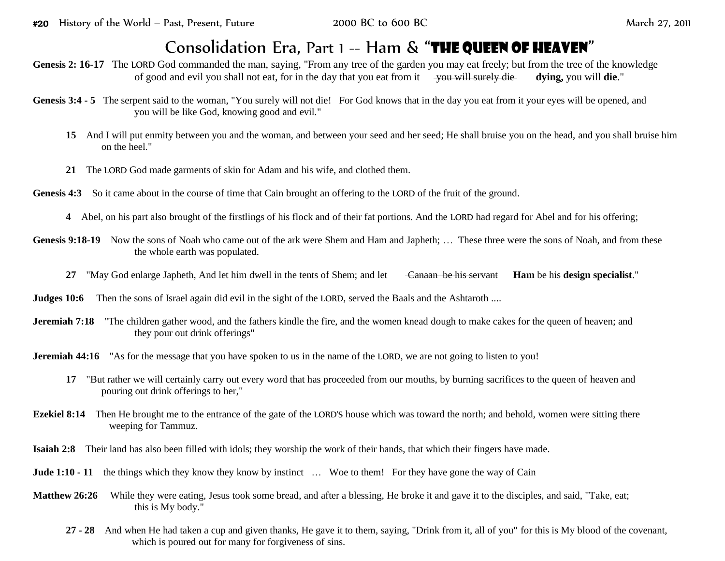## Consolidation Era, Part 1 -- Ham & "THE QUEEN OF HEAVEN"

Genesis 2: 16-17 The LORD God commanded the man, saying, "From any tree of the garden you may eat freely; but from the tree of the knowledge of good and evil you shall not eat, for in the day that you eat from it you will surely die **dying,** you will **die**."

- Genesis 3:4 5 The serpent said to the woman, "You surely will not die! For God knows that in the day you eat from it your eyes will be opened, and you will be like God, knowing good and evil."
	- **15** And I will put enmity between you and the woman, and between your seed and her seed; He shall bruise you on the head, and you shall bruise him on the heel."
	- **21** The LORD God made garments of skin for Adam and his wife, and clothed them.
- **Genesis 4:3** So it came about in the course of time that Cain brought an offering to the LORD of the fruit of the ground.
	- **4** Abel, on his part also brought of the firstlings of his flock and of their fat portions. And the LORD had regard for Abel and for his offering;
- Genesis 9:18-19 Now the sons of Noah who came out of the ark were Shem and Ham and Japheth; ... These three were the sons of Noah, and from these the whole earth was populated.
	- **27** "May God enlarge Japheth, And let him dwell in the tents of Shem; and let Canaan be his servant **Ham** be his **design specialist**."

- **Jeremiah 7:18** "The children gather wood, and the fathers kindle the fire, and the women knead dough to make cakes for the queen of heaven; and they pour out drink offerings"
- **Jeremiah 44:16** "As for the message that you have spoken to us in the name of the LORD, we are not going to listen to you!
	- **17** "But rather we will certainly carry out every word that has proceeded from our mouths, by burning sacrifices to the queen of heaven and pouring out drink offerings to her,"
- **Ezekiel 8:14** Then He brought me to the entrance of the gate of the LORD'S house which was toward the north; and behold, women were sitting there weeping for Tammuz.
- **Isaiah 2:8** Their land has also been filled with idols; they worship the work of their hands, that which their fingers have made.
- **Jude 1:10 11** the things which they know they know by instinct ... Woe to them! For they have gone the way of Cain
- **Matthew 26:26** While they were eating, Jesus took some bread, and after a blessing. He broke it and gave it to the disciples, and said, "Take, eat; this is My body."
	- **27 - 28** And when He had taken a cup and given thanks, He gave it to them, saying, "Drink from it, all of you" for this is My blood of the covenant, which is poured out for many for forgiveness of sins.

**Judges 10:6** Then the sons of Israel again did evil in the sight of the LORD, served the Baals and the Ashtaroth ....